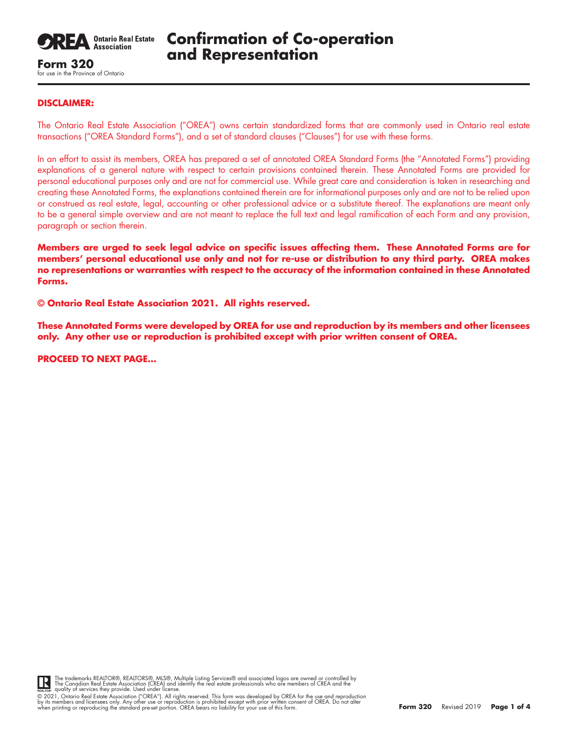

**Confirmation of Co-operation GREA** *Association* Estate Confirmation of Co-<br>Form 320 and Representation

## **DISCLAIMER:**

for use in the Province of Ontario

The Ontario Real Estate Association ("OREA") owns certain standardized forms that are commonly used in Ontario real estate transactions ("OREA Standard Forms"), and a set of standard clauses ("Clauses") for use with these forms.

In an effort to assist its members, OREA has prepared a set of annotated OREA Standard Forms (the "Annotated Forms") providing explanations of a general nature with respect to certain provisions contained therein. These Annotated Forms are provided for personal educational purposes only and are not for commercial use. While great care and consideration is taken in researching and creating these Annotated Forms, the explanations contained therein are for informational purposes only and are not to be relied upon or construed as real estate, legal, accounting or other professional advice or a substitute thereof. The explanations are meant only to be a general simple overview and are not meant to replace the full text and legal ramification of each Form and any provision, paragraph or section therein.

**Members are urged to seek legal advice on specific issues affecting them. These Annotated Forms are for members' personal educational use only and not for re-use or distribution to any third party. OREA makes no representations or warranties with respect to the accuracy of the information contained in these Annotated Forms.**

**© Ontario Real Estate Association 2021. All rights reserved.** 

**These Annotated Forms were developed by OREA for use and reproduction by its members and other licensees only. Any other use or reproduction is prohibited except with prior written consent of OREA.**

**PROCEED TO NEXT PAGE…**



The trademarks REALTOR®, REALTORS®, MLS®, Multiple Listing Services® and associated logos are owned or controlled by<br>The Canadian Real Estate Association (CREA) and identify the real estate professionals who are members of

© 2021, Ontario Real Estate Association ("OREA"). All rights reserved. This form was developed by OREA for the use and reproduction<br>by its members and licensees only. Any other use or reproduction is prohibited except with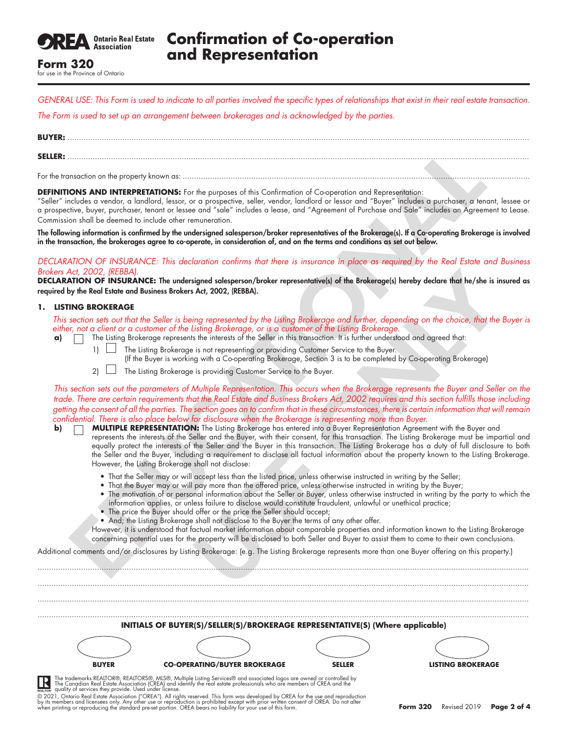

for use in the Province of Ontario

*GENERAL USE: This Form is used to indicate to all parties involved the specific types of relationships that exist in their real estate transaction.* 

*The Form is used to set up an arrangement between brokerages and is acknowledged by the parties.*

**BUYER:** .......................................................................................................................................................................................................... **SELLER:** ..........................................................................................................................................................................................................

For the transaction on the property known as: ........................................................................................................................................................

DEFINITIONS AND INTERPRETATIONS: For the purposes of this Confirmation of Co-operation and Representation:

"Seller" includes a vendor, a landlord, lessor, or a prospective, seller, vendor, landlord or lessor and "Buyer" includes a purchaser, a tenant, lessee or a prospective, buyer, purchaser, tenant or lessee and "sale" includes a lease, and "Agreement of Purchase and Sale" includes an Agreement to Lease. Commission shall be deemed to include other remuneration.

The following information is confirmed by the undersigned salesperson/broker representatives of the Brokerage(s). If a Co-operating Brokerage is involved in the transaction, the brokerages agree to co-operate, in consideration of, and on the terms and conditions as set out below.

### *DECLARATION OF INSURANCE: This declaration confirms that there is insurance in place as required by the Real Estate and Business Brokers Act, 2002, (REBBA).*

**DECLARATION OF INSURANCE:** The undersigned salesperson/broker representative(s) of the Brokerage(s) hereby declare that he/she is insured as required by the Real Estate and Business Brokers Act, 2002, (REBBA).

### **1. LISTING BROKERAGE**

 *This section sets out that the Seller is being represented by the Listing Brokerage and further, depending on the choice, that the Buyer is either, not a client or a customer of the Listing Brokerage, or is a customer of the Listing Brokerage.*

- **a)** The Listing Brokerage represents the interests of the Seller in this transaction. It is further understood and agreed that:
	- 1)  $\Box$  The Listing Brokerage is not representing or providing Customer Service to the Buyer.
		- (If the Buyer is working with a Co-operating Brokerage, Section 3 is to be completed by Co-operating Brokerage)

2) **The Listing Brokerage is providing Customer Service to the Buyer.** 

*This section sets out the parameters of Multiple Representation. This occurs when the Brokerage represents the Buyer and Seller on the trade. There are certain requirements that the Real Estate and Business Brokers Act, 2002 requires and this section fulfills those including getting the consent of all the parties. The section goes on to confirm that in these circumstances, there is certain information that will remain confidential. There is also place below for disclosure when the Brokerage is representing more than Buyer.*

mention on the property lenses on the person of the personnel of the Continential of Constraints and Dependent on the personnel of the person of the person of the personal of the personal of the personal of the personal o signed salesperson/broker representative(s) of the Brokerage(s) hereby declare that he/she is in Act, 2002, (REBBA).<br>
ing represented by the Listing Brokerage and further, depending on the choice, that the issues in Act, 2 **b)** MULTIPLE REPRESENTATION: The Listing Brokerage has entered into a Buyer Representation Agreement with the Buyer and represents the interests of the Seller and the Buyer, with their consent, for this transaction. The Listing Brokerage must be impartial and equally protect the interests of the Seller and the Buyer in this transaction. The Listing Brokerage has a duty of full disclosure to both the Seller and the Buyer, including a requirement to disclose all factual information about the property known to the Listing Brokerage. However, the Listing Brokerage shall not disclose:

- That the Seller may or will accept less than the listed price, unless otherwise instructed in writing by the Seller;
- That the Buyer may or will pay more than the offered price, unless otherwise instructed in writing by the Buyer;
- The motivation of or personal information about the Seller or Buyer, unless otherwise instructed in writing by the party to which the information applies, or unless failure to disclose would constitute fraudulent, unlawful or unethical practice;
- The price the Buyer should offer or the price the Seller should accept;
- And; the Listing Brokerage shall not disclose to the Buyer the terms of any other offer.

However, it is understood that factual market information about comparable properties and information known to the Listing Brokerage concerning potential uses for the property will be disclosed to both Seller and Buyer to assist them to come to their own conclusions.

Additional comments and/or disclosures by Listing Brokerage: (e.g. The Listing Brokerage represents more than one Buyer offering on this property.)

|                                                                                                                                                              | INITIALS OF BUYER(S)/SELLER(S)/BROKERAGE REPRESENTATIVE(S) (Where applicable)                                                                                                                                                     |               |                          |
|--------------------------------------------------------------------------------------------------------------------------------------------------------------|-----------------------------------------------------------------------------------------------------------------------------------------------------------------------------------------------------------------------------------|---------------|--------------------------|
|                                                                                                                                                              |                                                                                                                                                                                                                                   |               |                          |
| <b>BUYER</b>                                                                                                                                                 | <b>CO-OPERATING/BUYER BROKERAGE</b>                                                                                                                                                                                               | <b>SELLER</b> | <b>LISTING BROKERAGE</b> |
| IR<br><b>REALTOR:</b><br>© 2021. Ontario Real Estate Association ("OREA"). All rights reserved. This form was developed by OREA for the use and reproduction | The trademarks REALTOR®, REALTORS®, MLS®, Multiple Listing Services® and associated logos are owned or controlled by<br>The Canadian Real Estate Association (CREA) and identify the real estate professionals who are members of |               |                          |

© 2021, Ontario Real Estate Association ("OREA"). All rights reserved. This form was developed by OREA for the use and reproduction<br>by its members and licensees only. Any other use or reproduction is prohibited except with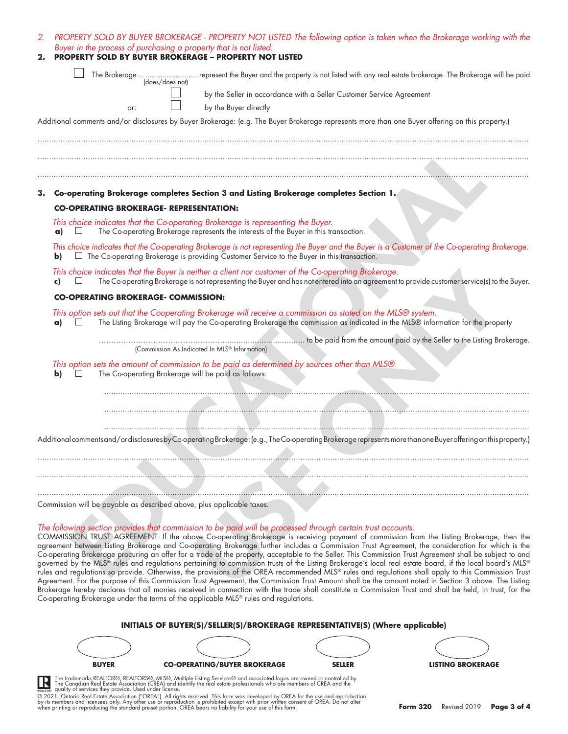| 2.<br>2. | PROPERTY SOLD BY BUYER BROKERAGE - PROPERTY NOT LISTED The following option is taken when the Brokerage working with the<br>Buyer in the process of purchasing a property that is not listed.<br><b>PROPERTY SOLD BY BUYER BROKERAGE - PROPERTY NOT LISTED</b>                                                                                                                                                                                                                                                                                                                                                                                                                                                                                                                                                                                                                                                                                                                                                                                    |  |  |  |
|----------|---------------------------------------------------------------------------------------------------------------------------------------------------------------------------------------------------------------------------------------------------------------------------------------------------------------------------------------------------------------------------------------------------------------------------------------------------------------------------------------------------------------------------------------------------------------------------------------------------------------------------------------------------------------------------------------------------------------------------------------------------------------------------------------------------------------------------------------------------------------------------------------------------------------------------------------------------------------------------------------------------------------------------------------------------|--|--|--|
|          | The Brokerage represent the Buyer and the property is not listed with any real estate brokerage. The Brokerage will be paid<br>by the Seller in accordance with a Seller Customer Service Agreement<br>by the Buyer directly<br>or:                                                                                                                                                                                                                                                                                                                                                                                                                                                                                                                                                                                                                                                                                                                                                                                                               |  |  |  |
|          | Additional comments and/or disclosures by Buyer Brokerage: (e.g. The Buyer Brokerage represents more than one Buyer offering on this property.)                                                                                                                                                                                                                                                                                                                                                                                                                                                                                                                                                                                                                                                                                                                                                                                                                                                                                                   |  |  |  |
|          |                                                                                                                                                                                                                                                                                                                                                                                                                                                                                                                                                                                                                                                                                                                                                                                                                                                                                                                                                                                                                                                   |  |  |  |
| з.       | Co-operating Brokerage completes Section 3 and Listing Brokerage completes Section 1.                                                                                                                                                                                                                                                                                                                                                                                                                                                                                                                                                                                                                                                                                                                                                                                                                                                                                                                                                             |  |  |  |
|          | <b>CO-OPERATING BROKERAGE- REPRESENTATION:</b>                                                                                                                                                                                                                                                                                                                                                                                                                                                                                                                                                                                                                                                                                                                                                                                                                                                                                                                                                                                                    |  |  |  |
|          | This choice indicates that the Co-operating Brokerage is representing the Buyer.<br>The Co-operating Brokerage represents the interests of the Buyer in this transaction.<br>ப<br>a)                                                                                                                                                                                                                                                                                                                                                                                                                                                                                                                                                                                                                                                                                                                                                                                                                                                              |  |  |  |
|          | This choice indicates that the Co-operating Brokerage is not representing the Buyer and the Buyer is a Customer of the Co-operating Brokerage.<br>$\Box$ The Co-operating Brokerage is providing Customer Service to the Buyer in this transaction.<br>b)                                                                                                                                                                                                                                                                                                                                                                                                                                                                                                                                                                                                                                                                                                                                                                                         |  |  |  |
|          | This choice indicates that the Buyer is neither a client nor customer of the Co-operating Brokerage.<br>The Co-operating Brokerage is not representing the Buyer and has not entered into an agreement to provide customer service(s) to the Buyer.                                                                                                                                                                                                                                                                                                                                                                                                                                                                                                                                                                                                                                                                                                                                                                                               |  |  |  |
|          | <b>CO-OPERATING BROKERAGE- COMMISSION:</b>                                                                                                                                                                                                                                                                                                                                                                                                                                                                                                                                                                                                                                                                                                                                                                                                                                                                                                                                                                                                        |  |  |  |
|          | This option sets out that the Cooperating Brokerage will receive a commission as stated on the MLS® system.<br>The Listing Brokerage will pay the Co-operating Brokerage the commission as indicated in the MLS® information for the property<br>⊔<br>a)                                                                                                                                                                                                                                                                                                                                                                                                                                                                                                                                                                                                                                                                                                                                                                                          |  |  |  |
|          | to be paid from the amount paid by the Seller to the Listing Brokerage.<br>(Commission As Indicated In MLS® Information)                                                                                                                                                                                                                                                                                                                                                                                                                                                                                                                                                                                                                                                                                                                                                                                                                                                                                                                          |  |  |  |
|          | This option sets the amount of commission to be paid as determined by sources other than MLS®<br>The Co-operating Brokerage will be paid as follows:<br>b)                                                                                                                                                                                                                                                                                                                                                                                                                                                                                                                                                                                                                                                                                                                                                                                                                                                                                        |  |  |  |
|          |                                                                                                                                                                                                                                                                                                                                                                                                                                                                                                                                                                                                                                                                                                                                                                                                                                                                                                                                                                                                                                                   |  |  |  |
|          | Additional comments and/or disclosures by Co-operating Brokerage: (e.g., The Co-operating Brokerage represents more than one Buyer offering on this property.)                                                                                                                                                                                                                                                                                                                                                                                                                                                                                                                                                                                                                                                                                                                                                                                                                                                                                    |  |  |  |
|          |                                                                                                                                                                                                                                                                                                                                                                                                                                                                                                                                                                                                                                                                                                                                                                                                                                                                                                                                                                                                                                                   |  |  |  |
|          | Commission will be payable as described above, plus applicable taxes.                                                                                                                                                                                                                                                                                                                                                                                                                                                                                                                                                                                                                                                                                                                                                                                                                                                                                                                                                                             |  |  |  |
|          | The following section provides that commission to be paid will be processed through certain trust accounts.<br>COMMISSION TRUST AGREEMENT: If the above Co-operating Brokerage is receiving payment of commission from the Listing Brokerage, then the<br>agreement between Listing Brokerage and Co-operating Brokerage further includes a Commission Trust Agreement, the consideration for which is the<br>Co-operating Brokerage procuring an offer for a trade of the property, acceptable to the Seller. This Commission Trust Agreement shall be subject to and<br>governed by the MLS® rules and regulations pertaining to commission trusts of the Listing Brokerage's local real estate board, if the local board's MLS®<br>rules and regulations so provide. Otherwise, the provisions of the OREA recommended MLS® rules and regulations shall apply to this Commission Trust<br>Agreement. For the purpose of this Commission Trust Agreement, the Commission Trust Amount shall be the amount noted in Section 3 above. The Listing |  |  |  |

rules and regulations so provide. Otherwise, the provisions of the OREA recommended MLS® rules and regulations shall apply to this Commission Trust Agreement. For the purpose of this Commission Trust Agreement, the Commission Trust Amount shall be the amount noted in Section 3 above. The Listing Brokerage hereby declares that all monies received in connection with the trade shall constitute a Commission Trust and shall be held, in trust, for the Co-operating Brokerage under the terms of the applicable MLS® rules and regulations.

# The trademarks REALTOR®, REALTORS®, MLS®, Multiple Listing Services® and associated logos are owned or controlled by<br>The Canadian Real Estate Association (CREA) and identify the real estate professionals who are members of **INITIALS OF BUYER(S)/SELLER(S)/BROKERAGE REPRESENTATIVE(S) (Where applicable) BUYER CO-OPERATING/BUYER BROKERAGE SELLER LISTING BROKERAGE**

© 2021, Ontario Real Estate Association ("OREA"). All rights reserved. This form was developed by OREA for the use and reproduction<br>by its members and licensees only. Any other use or reproduction is prohibited except with

 $\bf \bf R$